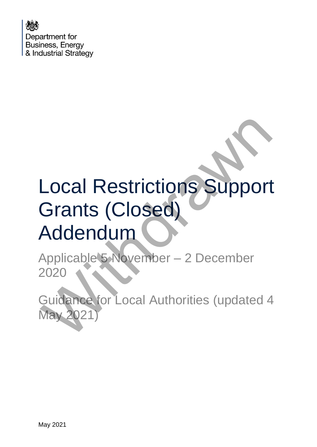Department for **Business, Energy** & Industrial Strategy

## Local Restrictions Support Grants (Closed) Addendum Local Restrictions Support<br>Grants (Closed)<br>Addendum<br>Applicable's November – 2 December<br>2020<br>Guidance for Local Authorities (updated 4<br>May 2021)

Applicable 5 November – 2 December 2020

Guidance for Local Authorities (updated 4 May 2021)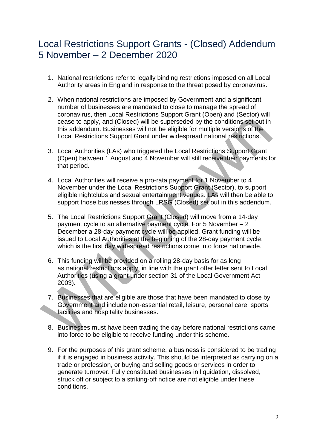## Local Restrictions Support Grants - (Closed) Addendum 5 November – 2 December 2020

- 1. National restrictions refer to legally binding restrictions imposed on all Local Authority areas in England in response to the threat posed by coronavirus.
- 2. When national restrictions are imposed by Government and a significant number of businesses are mandated to close to manage the spread of coronavirus, then Local Restrictions Support Grant (Open) and (Sector) will cease to apply, and (Closed) will be superseded by the conditions set out in this addendum. Businesses will not be eligible for multiple versions of the Local Restrictions Support Grant under widespread national restrictions.
- 3. Local Authorities (LAs) who triggered the Local Restrictions Support Grant (Open) between 1 August and 4 November will still receive their payments for that period.
- 4. Local Authorities will receive a pro-rata payment for 1 November to 4 November under the Local Restrictions Support Grant (Sector), to support eligible nightclubs and sexual entertainment venues. LAs will then be able to support those businesses through LRSG (Closed) set out in this addendum.
- 5. The Local Restrictions Support Grant (Closed) will move from a 14-day payment cycle to an alternative payment cycle. For 5 November – 2 December a 28-day payment cycle will be applied. Grant funding will be issued to Local Authorities at the beginning of the 28-day payment cycle, which is the first day widespread restrictions come into force nationwide. cosas to apply, and (Closed) will be superseded by the conditions set out in<br>this addentum. Businesses will not be eligible for multiple versions of the<br>Local Restrictions. Support Grant under widespread national restricti
	- 6. This funding will be provided on a rolling 28-day basis for as long as national restrictions apply, in line with the grant offer letter sent to Local Authorities (using a grant under section 31 of the Local Government Act 2003).
	- 7. Businesses that are eligible are those that have been mandated to close by Government and include non-essential retail, leisure, personal care, sports facilities and hospitality businesses.
	- 8. Businesses must have been trading the day before national restrictions came into force to be eligible to receive funding under this scheme.
	- 9. For the purposes of this grant scheme, a business is considered to be trading if it is engaged in business activity. This should be interpreted as carrying on a trade or profession, or buying and selling goods or services in order to generate turnover. Fully constituted businesses in liquidation, dissolved, struck off or subject to a striking-off notice are not eligible under these conditions.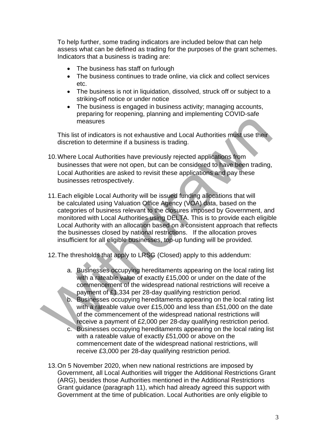To help further, some trading indicators are included below that can help assess what can be defined as trading for the purposes of the grant schemes. Indicators that a business is trading are:

- The business has staff on furlough
- The business continues to trade online, via click and collect services etc.
- The business is not in liquidation, dissolved, struck off or subject to a striking-off notice or under notice
- The business is engaged in business activity; managing accounts, preparing for reopening, planning and implementing COVID-safe measures

This list of indicators is not exhaustive and Local Authorities must use their discretion to determine if a business is trading.

- 10.Where Local Authorities have previously rejected applications from businesses that were not open, but can be considered to have been trading, Local Authorities are asked to revisit these applications and pay these businesses retrospectively.
- 11.Each eligible Local Authority will be issued funding allocations that will be calculated using Valuation Office Agency (VOA) data, based on the categories of business relevant to the closures imposed by Government, and monitored with Local Authorities using DELTA. This is to provide each eligible Local Authority with an allocation based on a consistent approach that reflects the businesses closed by national restrictions. If the allocation proves insufficient for all eligible businesses, top-up funding will be provided. measures<br>
This list of indicators is not exhaustive and Local Authorities must use their<br>
discretion to determine if a business is trading.<br>
10. Where Local Authorities have previously rejected applications from<br>
businesse
	- 12.The thresholds that apply to LRSG (Closed) apply to this addendum:
		- a. Businesses occupying hereditaments appearing on the local rating list with a rateable value of exactly £15,000 or under on the date of the commencement of the widespread national restrictions will receive a payment of £1,334 per 28-day qualifying restriction period.
		- b. Businesses occupying hereditaments appearing on the local rating list with a rateable value over £15,000 and less than £51,000 on the date of the commencement of the widespread national restrictions will receive a payment of £2,000 per 28-day qualifying restriction period.
		- c. Businesses occupying hereditaments appearing on the local rating list with a rateable value of exactly £51,000 or above on the commencement date of the widespread national restrictions, will receive £3,000 per 28-day qualifying restriction period.
	- 13.On 5 November 2020, when new national restrictions are imposed by Government, all Local Authorities will trigger the Additional Restrictions Grant (ARG), besides those Authorities mentioned in the Additional Restrictions Grant guidance (paragraph 11), which had already agreed this support with Government at the time of publication. Local Authorities are only eligible to